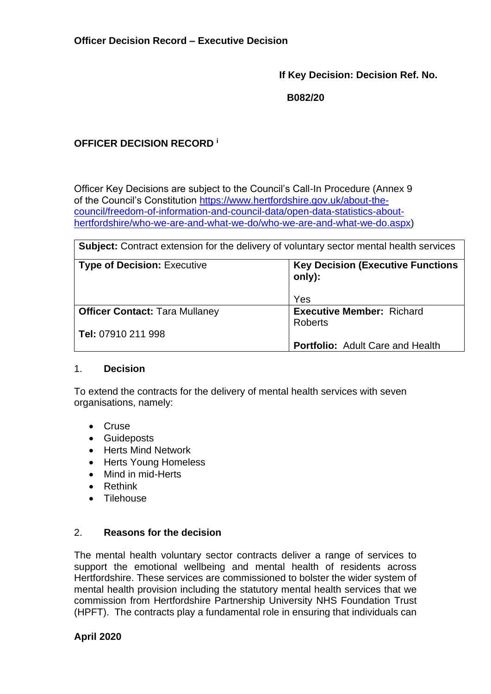**If Key Decision: Decision Ref. No.**

**B082/20**

## **OFFICER DECISION RECORD <sup>i</sup>**

Officer Key Decisions are subject to the Council's Call-In Procedure (Annex 9 of the Council's Constitution [https://www.hertfordshire.gov.uk/about-the](https://www.hertfordshire.gov.uk/about-the-council/freedom-of-information-and-council-data/open-data-statistics-about-hertfordshire/who-we-are-and-what-we-do/who-we-are-and-what-we-do.aspx)[council/freedom-of-information-and-council-data/open-data-statistics-about](https://www.hertfordshire.gov.uk/about-the-council/freedom-of-information-and-council-data/open-data-statistics-about-hertfordshire/who-we-are-and-what-we-do/who-we-are-and-what-we-do.aspx)[hertfordshire/who-we-are-and-what-we-do/who-we-are-and-what-we-do.aspx\)](https://www.hertfordshire.gov.uk/about-the-council/freedom-of-information-and-council-data/open-data-statistics-about-hertfordshire/who-we-are-and-what-we-do/who-we-are-and-what-we-do.aspx)

| <b>Subject:</b> Contract extension for the delivery of voluntary sector mental health services |                                                     |  |
|------------------------------------------------------------------------------------------------|-----------------------------------------------------|--|
| <b>Type of Decision: Executive</b>                                                             | <b>Key Decision (Executive Functions)</b><br>only): |  |
|                                                                                                | Yes                                                 |  |
| <b>Officer Contact: Tara Mullaney</b>                                                          | <b>Executive Member: Richard</b><br><b>Roberts</b>  |  |
| Tel: 07910 211 998                                                                             |                                                     |  |
|                                                                                                | <b>Portfolio:</b> Adult Care and Health             |  |

#### 1. **Decision**

To extend the contracts for the delivery of mental health services with seven organisations, namely:

- Cruse
- Guideposts
- Herts Mind Network
- Herts Young Homeless
- Mind in mid-Herts
- Rethink
- Tilehouse

### 2. **Reasons for the decision**

The mental health voluntary sector contracts deliver a range of services to support the emotional wellbeing and mental health of residents across Hertfordshire. These services are commissioned to bolster the wider system of mental health provision including the statutory mental health services that we commission from Hertfordshire Partnership University NHS Foundation Trust (HPFT). The contracts play a fundamental role in ensuring that individuals can

## **April 2020**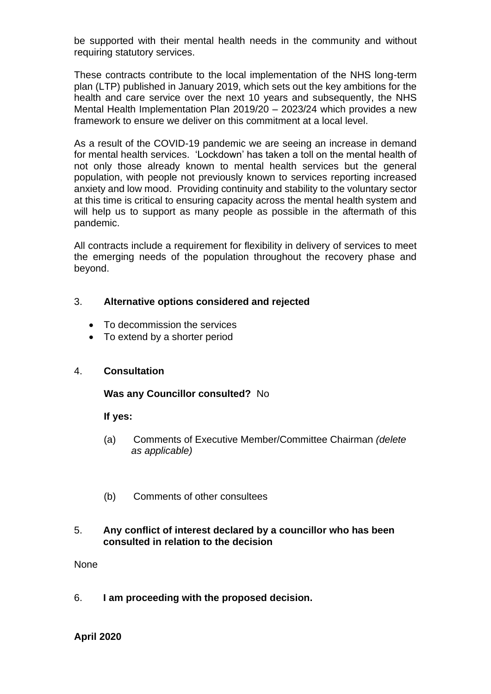be supported with their mental health needs in the community and without requiring statutory services.

These contracts contribute to the local implementation of the NHS long-term plan (LTP) published in January 2019, which sets out the key ambitions for the health and care service over the next 10 years and subsequently, the NHS Mental Health Implementation Plan 2019/20 – 2023/24 which provides a new framework to ensure we deliver on this commitment at a local level.

As a result of the COVID-19 pandemic we are seeing an increase in demand for mental health services. 'Lockdown' has taken a toll on the mental health of not only those already known to mental health services but the general population, with people not previously known to services reporting increased anxiety and low mood. Providing continuity and stability to the voluntary sector at this time is critical to ensuring capacity across the mental health system and will help us to support as many people as possible in the aftermath of this pandemic.

All contracts include a requirement for flexibility in delivery of services to meet the emerging needs of the population throughout the recovery phase and beyond.

### 3. **Alternative options considered and rejected**

- To decommission the services
- To extend by a shorter period

#### 4. **Consultation**

#### **Was any Councillor consulted?** No

#### **If yes:**

- (a) Comments of Executive Member/Committee Chairman *(delete as applicable)*
- (b) Comments of other consultees

#### 5. **Any conflict of interest declared by a councillor who has been consulted in relation to the decision**

None

6. **I am proceeding with the proposed decision.** 

**April 2020**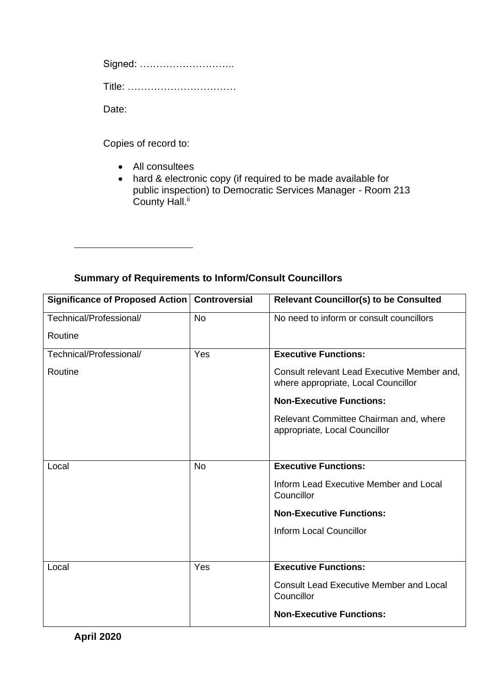Signed: ………………………..

Title: ……………………………

Date:

Copies of record to:

• All consultees

• hard & electronic copy (if required to be made available for public inspection) to Democratic Services Manager - Room 213 County Hall.<sup>ii</sup>

# **Summary of Requirements to Inform/Consult Councillors**

| Significance of Proposed Action | <b>Controversial</b> | <b>Relevant Councillor(s) to be Consulted</b>                                      |
|---------------------------------|----------------------|------------------------------------------------------------------------------------|
| Technical/Professional/         | <b>No</b>            | No need to inform or consult councillors                                           |
| Routine                         |                      |                                                                                    |
| Technical/Professional/         | Yes                  | <b>Executive Functions:</b>                                                        |
| Routine                         |                      | Consult relevant Lead Executive Member and,<br>where appropriate, Local Councillor |
|                                 |                      | <b>Non-Executive Functions:</b>                                                    |
|                                 |                      | Relevant Committee Chairman and, where<br>appropriate, Local Councillor            |
|                                 |                      |                                                                                    |
| Local                           | <b>No</b>            | <b>Executive Functions:</b>                                                        |
|                                 |                      | Inform Lead Executive Member and Local<br>Councillor                               |
|                                 |                      | <b>Non-Executive Functions:</b>                                                    |
|                                 |                      | <b>Inform Local Councillor</b>                                                     |
|                                 |                      |                                                                                    |
| Local                           | Yes                  | <b>Executive Functions:</b>                                                        |
|                                 |                      | <b>Consult Lead Executive Member and Local</b><br>Councillor                       |
|                                 |                      | <b>Non-Executive Functions:</b>                                                    |